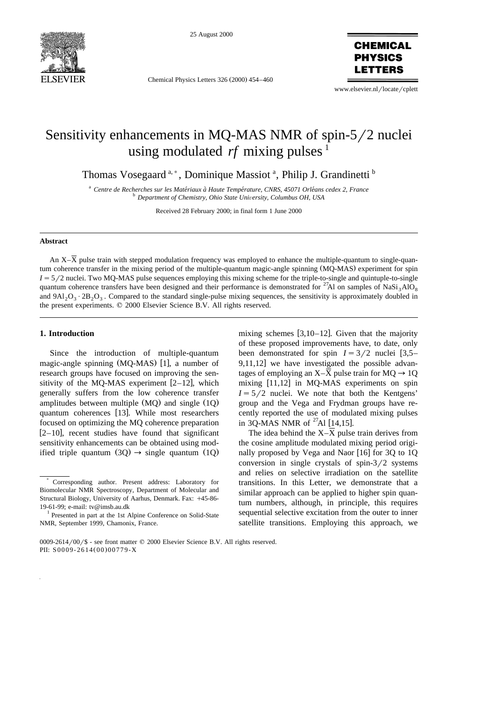

25 August 2000

Chemical Physics Letters 326 (2000) 454-460

**CHEMICAL PHYSICS** 

www.elsevier.nl/locate/cplett

# Sensitivity enhancements in MQ-MAS NMR of spin- $5/2$  nuclei using modulated  $rf$  mixing pulses  $\frac{1}{1}$

Thomas Vosegaard<sup>a,\*</sup>, Dominique Massiot<sup>a</sup>, Philip J. Grandinetti<sup>b</sup>

<sup>a</sup> Centre de Recherches sur les Matériaux à Haute Température, CNRS, 45071 Orléans cedex 2, France<br><sup>b</sup> Department of Chemistry, Ohio State University, Columbus OH, USA

Received 28 February 2000; in final form 1 June 2000

### **Abstract**

An  $X-\overline{X}$  pulse train with stepped modulation frequency was employed to enhance the multiple-quantum to single-quantum coherence transfer in the mixing period of the multiple-quantum magic-angle spinning (MQ-MAS) experiment for spin  $I = 5/2$  nuclei. Two MQ-MAS pulse sequences employing this mixing scheme for the triple-to-single and quintuple-to-single quantum coherence transfers have been designed and their performance is demonstrated for <sup>27</sup>Al on samples of NaSi<sub>3</sub>AlO<sub>8</sub> and  $9A1_2O_3 \cdot 2B_2O_3$ . Compared to the standard single-pulse mixing sequences, the sensitivity is approximately doubled in the present experiments.  $© 2000$  Elsevier Science B.V. All rights reserved.

## **1. Introduction**

Since the introduction of multiple-quantum magic-angle spinning  $(MQ-MAS)$  [1], a number of research groups have focused on improving the sensitivity of the MO-MAS experiment  $[2-12]$ , which generally suffers from the low coherence transfer amplitudes between multiple  $(MQ)$  and single  $(1Q)$ quantum coherences [13]. While most researchers focused on optimizing the MQ coherence preparation  $[2-10]$ , recent studies have found that significant sensitivity enhancements can be obtained using modified triple quantum  $(3Q) \rightarrow$  single quantum  $(1Q)$ 

mixing schemes  $[3,10-12]$ . Given that the majority of these proposed improvements have, to date, only been demonstrated for spin  $I = 3/2$  nuclei [3,5–  $9,11,12$  we have investigated the possible advantages of employing an  $X-\overline{X}$  pulse train for  $MQ \rightarrow 1Q$ mixing  $[11,12]$  in MQ-MAS experiments on spin  $I = 5/2$  nuclei. We note that both the Kentgens' group and the Vega and Frydman groups have recently reported the use of modulated mixing pulses in 3Q-MAS NMR of  $^{27}$ Al [14,15].

The idea behind the  $X-\overline{X}$  pulse train derives from the cosine amplitude modulated mixing period originally proposed by Vega and Naor  $[16]$  for 3Q to 1Q conversion in single crystals of spin- $3/2$  systems and relies on selective irradiation on the satellite transitions. In this Letter, we demonstrate that a similar approach can be applied to higher spin quantum numbers, although, in principle, this requires sequential selective excitation from the outer to inner satellite transitions. Employing this approach, we

<sup>)</sup> Corresponding author. Present address: Laboratory for Biomolecular NMR Spectroscopy, Department of Molecular and Structural Biology, University of Aarhus, Denmark. Fax: +45-86-19-61-99; e-mail: tv@imsb.au.dk  $1$  Presented in part at the 1st Alpine Conference on Solid-State

NMR, September 1999, Chamonix, France.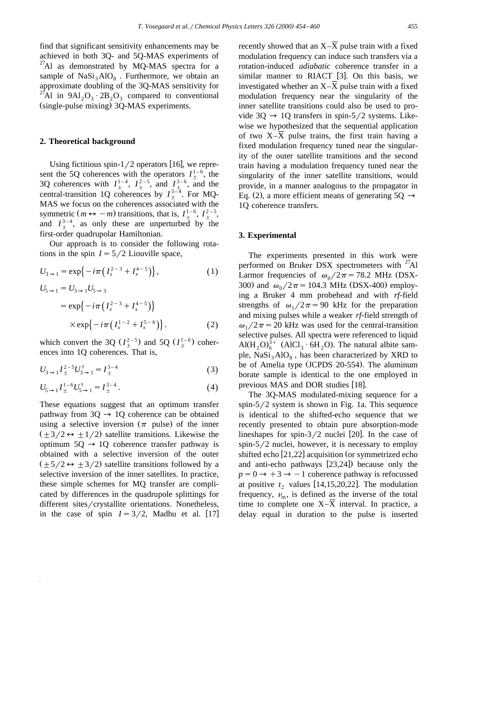find that significant sensitivity enhancements may be achieved in both 3Q- and 5Q-MAS experiments of  $^{27}$ Al as demonstrated by MQ-MAS spectra for a sample of  $NaSi<sub>3</sub>AlO<sub>8</sub>$ . Furthermore, we obtain an approximate doubling of the 3Q-MAS sensitivity for <sup>27</sup>Al in 9Al<sub>2</sub>O<sub>3</sub>  $\cdot$  2B<sub>2</sub>O<sub>3</sub> compared to conventional (single-pulse mixing) 3O-MAS experiments.

#### **2. Theoretical background**

Using fictitious spin- $1/2$  operators [16], we represent the 5Q coherences with the operators  $I_{+}^{1-6}$ , the 3Q coherences with  $I_{+}^{1-4}$ ,  $I_{+}^{2-5}$ , and  $I_{+}^{3-6}$ , and the central-transition 1Q coherences by  $I_{+}^{3-\overline{4}}$ . For MQ-MAS we focus on the coherences associated with the symmetric  $(m \leftrightarrow -m)$  transitions, that is,  $I_{+}^{1-6}$ ,  $I_{+}^{2-5}$ , and  $I_+^{3-4}$ , as only these are unperturbed by the first-order quadrupolar Hamiltonian.

Our approach is to consider the following rotations in the spin  $I = 5/2$  Liouville space,

$$
U_{3 \to 1} = \exp\{-i\pi \left(I_x^{2-3} + I_x^{4-5}\right)\},
$$
  
\n
$$
U_{5 \to 1} = U_{3 \to 1} U_{5 \to 3}
$$
\n(1)

$$
= \exp\{-i\pi \left(I_x^{2-3} + I_x^{4-5}\right)\}
$$
  
 
$$
\times \exp\{-i\pi \left(I_x^{1-2} + I_x^{5-6}\right)\}.
$$
 (2)

which convert the 3Q  $(I_{\pm}^{2-5})$  and 5Q  $(I_{\pm}^{1-6})$  coherences into 1Q coherences. That is,

$$
U_{3\to 1}I_{\pm}^{2-5}U_{3\to 1}^{\dagger}=I_{\pm}^{3-4}
$$
 (3)

$$
U_{5\to 1}I_{\pm}^{1-6}U_{5\to 1}^{\dagger} = I_{\pm}^{3-4}.
$$
 (4)

These equations suggest that an optimum transfer pathway from  $3Q \rightarrow 1Q$  coherence can be obtained using a selective inversion ( $\pi$  pulse) of the inner  $(\pm 3/2 \leftrightarrow \pm 1/2)$  satellite transitions. Likewise the optimum  $5Q \rightarrow 1Q$  coherence transfer pathway is obtained with a selective inversion of the outer  $(\pm 5/2 \leftrightarrow \pm 3/2)$  satellite transitions followed by a selective inversion of the inner satellites. In practice, these simple schemes for MQ transfer are complicated by differences in the quadrupole splittings for different sites/crystallite orientations. Nonetheless, in the case of spin  $I = 3/2$ , Madhu et al. [17] recently showed that an  $X-\overline{X}$  pulse train with a fixed modulation frequency can induce such transfers via a rotation-induced *adiabatic* coherence transfer in a similar manner to RIACT [3]. On this basis, we investigated whether an  $X-\overline{X}$  pulse train with a fixed modulation frequency near the singularity of the inner satellite transitions could also be used to provide 3Q  $\rightarrow$  1Q transfers in spin-5/2 systems. Likewise we hypothesized that the sequential application of two  $X-\overline{X}$  pulse trains, the first train having a fixed modulation frequency tuned near the singularity of the outer satellite transitions and the second train having a modulation frequency tuned near the singularity of the inner satellite transitions, would provide, in a manner analogous to the propagator in Eq. (2), a more efficient means of generating  $5Q \rightarrow$ 1Q coherence transfers.

#### **3. Experimental**

The experiments presented in this work were performed on Bruker DSX spectrometers with  $27$ Al Larmor frequencies of  $\omega_0/2\pi = 78.2$  MHz (DSX-300) and  $\omega_0/2\pi = 104.3$  MHz (DSX-400) employing a Bruker 4 mm probehead and with *rf*-field strengths of  $\omega_1/2\pi = 90$  kHz for the preparation and mixing pulses while a weaker *rf*-field strength of  $\omega_1/2\pi$  = 20 kHz was used for the central-transition selective pulses. All spectra were referenced to liquid  $Al(H<sub>2</sub>O)<sub>6</sub><sup>3+</sup>$  (AlCl<sub>3</sub>  $\cdot$  6H<sub>2</sub>O). The natural albite sample,  $NaSi_3AlO_8$ , has been characterized by XRD to be of Amelia type (JCPDS 20-554). The aluminum borate sample is identical to the one employed in previous MAS and DOR studies [18].

The 3Q-MAS modulated-mixing sequence for a spin- $5/2$  system is shown in Fig. 1a. This sequence is identical to the shifted-echo sequence that we recently presented to obtain pure absorption-mode lineshapes for spin- $3/2$  nuclei [20]. In the case of spin- $5/2$  nuclei, however, it is necessary to employ shifted echo  $[21,22]$  acquisition (or symmetrized echo and anti-echo pathways  $[23,24]$  because only the  $p=0 \rightarrow +3 \rightarrow -1$  coherence pathway is refocussed at positive  $t_2$  values [14,15,20,22]. The modulation frequency,  $\nu_{\rm m}$ , is defined as the inverse of the total time to complete one  $X-\overline{X}$  interval. In practice, a delay equal in duration to the pulse is inserted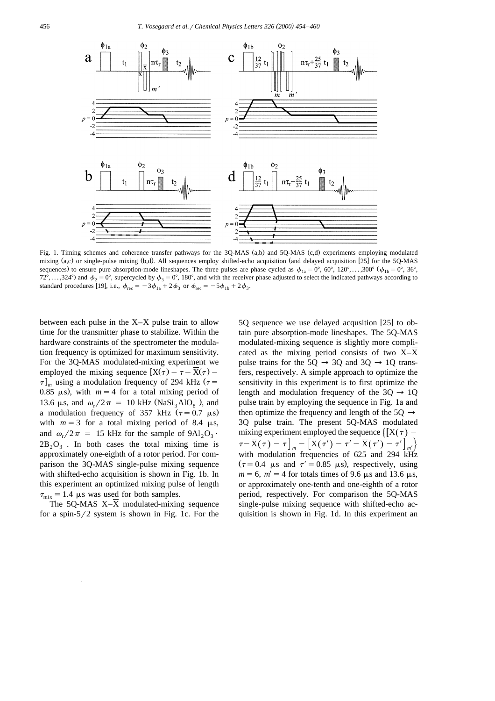

Fig. 1. Timing schemes and coherence transfer pathways for the 3Q-MAS (a,b) and 5Q-MAS (c,d) experiments employing modulated mixing (a,c) or single-pulse mixing (b,d). All sequences employ shifted-echo acquisition (and delayed acquisition [25] for the 5Q-MAS sequences) to ensure pure absorption-mode lineshapes. The three pulses are phase cycled as  $\phi_{1a} = 0^\circ$ , 60°, 120°, ...,300° ( $\phi_{1b} = 0^\circ$ , 36°, 72°,...,324°) and  $\phi_2 = 0$ °, supercycled by  $\phi_3 = 0$ °, 180°, and with the receiver phase adjusted to select the indicated pathways according to standard procedures [19], i.e.,  $\phi_{\text{rec}} = -3\phi_{1a} + 2\phi_3$  or  $\phi_{\text{rec}} = -5\phi_{1b} + 2\phi_3$ .

between each pulse in the  $X-\overline{X}$  pulse train to allow time for the transmitter phase to stabilize. Within the hardware constraints of the spectrometer the modulation frequency is optimized for maximum sensitivity. For the 3Q-MAS modulated-mixing experiment we employed the mixing sequence  $[X(\tau) - \tau - X(\tau) \tau$ <sub>m</sub> using a modulation frequency of 294 kHz ( $\tau$  = 0.85  $\mu$ s), with  $m = 4$  for a total mixing period of 13.6  $\mu$ s, and  $\omega_r/2\pi = 10$  kHz (NaSi<sub>3</sub>AlO<sub>8</sub>), and a modulation frequency of 357 kHz  $(\tau = 0.7 \mu s)$ with  $m = 3$  for a total mixing period of 8.4  $\mu$ s, and  $\omega_r/2\pi = 15$  kHz for the sample of  $9\text{Al}_2\text{O}_3$ .  $2B_2O_3$ . In both cases the total mixing time is approximately one-eighth of a rotor period. For comparison the 3Q-MAS single-pulse mixing sequence with shifted-echo acquisition is shown in Fig. 1b. In this experiment an optimized mixing pulse of length  $\tau_{\text{mix}}=1.4$  µs was used for both samples.

The 5Q-MAS X–X modulated-mixing sequence for a spin- $5/2$  system is shown in Fig. 1c. For the

5Q sequence we use delayed acqusition  $[25]$  to obtain pure absorption-mode lineshapes. The 5Q-MAS modulated-mixing sequence is slightly more complicated as the mixing period consists of two  $X-\overline{X}$ pulse trains for the 5Q  $\rightarrow$  3Q and 3Q  $\rightarrow$  1Q transfers, respectively. A simple approach to optimize the sensitivity in this experiment is to first optimize the length and modulation frequency of the  $30 \rightarrow 10$ pulse train by employing the sequence in Fig. 1a and then optimize the frequency and length of the 50  $\rightarrow$ 3Q pulse train. The present 5Q-MAS modulated mixing experiment employed the sequence  $\left\{ \left[ X(\tau) - \right] \right\}$  $\tau=\overline{X}(\tau)-\tau\big]_{m} -\big[X(\tau')-\tau'-\overline{X}(\tau')-\tau'\big]_{m'}\big\}$ with modulation frequencies of 625 and 294 kHz  $(\tau = 0.4 \mu s \text{ and } \tau' = 0.85 \mu s)$ , respectively, using  $m = 6$ ,  $m' = 4$  for totals times of 9.6  $\mu$ s and 13.6  $\mu$ s, or approximately one-tenth and one-eighth of a rotor period, respectively. For comparison the 5Q-MAS single-pulse mixing sequence with shifted-echo acquisition is shown in Fig. 1d. In this experiment an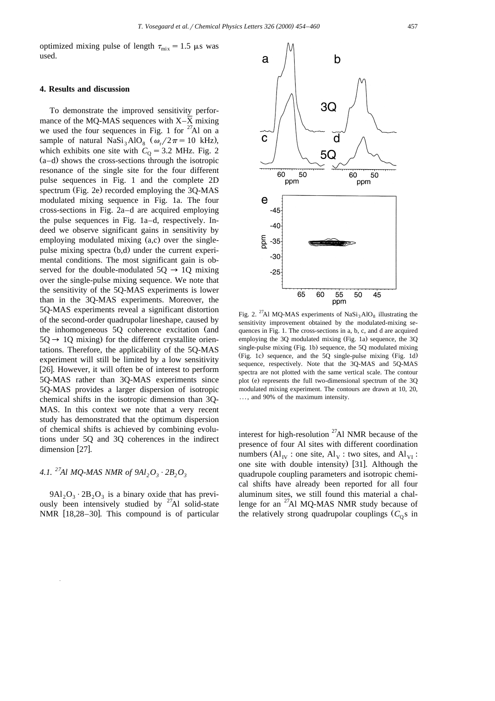optimized mixing pulse of length  $\tau_{\text{mix}}=1.5$   $\mu$ s was used.

### **4. Results and discussion**

To demonstrate the improved sensitivity performance of the MQ-MAS sequences with X–X mixing we used the four sequences in Fig. 1 for  $27$ Al on a sample of natural  $NaSi<sub>3</sub>AlO<sub>8</sub>$  ( $\omega_r/2\pi=10$  kHz), which exhibits one site with  $C<sub>0</sub> = 3.2$  MHz. Fig. 2  $(a-d)$  shows the cross-sections through the isotropic resonance of the single site for the four different pulse sequences in Fig. 1 and the complete 2D spectrum (Fig. 2e) recorded employing the 3Q-MAS modulated mixing sequence in Fig. 1a. The four cross-sections in Fig. 2a–d are acquired employing the pulse sequences in Fig. 1a–d, respectively. Indeed we observe significant gains in sensitivity by employing modulated mixing  $(a, c)$  over the singlepulse mixing spectra (b,d) under the current experimental conditions. The most significant gain is observed for the double-modulated  $50 \rightarrow 10$  mixing over the single-pulse mixing sequence. We note that the sensitivity of the 5Q-MAS experiments is lower than in the 3Q-MAS experiments. Moreover, the 5Q-MAS experiments reveal a significant distortion of the second-order quadrupolar lineshape, caused by the inhomogeneous  $5Q$  coherence excitation (and  $5Q \rightarrow 1Q$  mixing) for the different crystallite orientations. Therefore, the applicability of the 5Q-MAS experiment will still be limited by a low sensitivity [26]. However, it will often be of interest to perform 5Q-MAS rather than 3Q-MAS experiments since 5Q-MAS provides a larger dispersion of isotropic chemical shifts in the isotropic dimension than 3Q-MAS. In this context we note that a very recent study has demonstrated that the optimum dispersion of chemical shifts is achieved by combining evolutions under 5Q and 3Q coherences in the indirect dimension [27].

# *4.1.* <sup>27</sup>*Al MQ-MAS NMR of 9Al*,  $O_3 \cdot 2B_2O_3$

 $9Al_2O_3 \cdot 2B_2O_3$  is a binary oxide that has previously been intensively studied by  $27$ Al solid-state NMR  $[18,28-30]$ . This compound is of particular



interest for high-resolution  $27$ Al NMR because of the presence of four Al sites with different coordination numbers  $(AI_{IV} : one site, Al_{V} : two sites, and Al_{VI} :$ one site with double intensity)  $[31]$ . Although the quadrupole coupling parameters and isotropic chemical shifts have already been reported for all four aluminum sites, we still found this material a challenge for an  $^{27}$ Al MO-MAS NMR study because of the relatively strong quadrupolar couplings  $(C_0 s)$  in

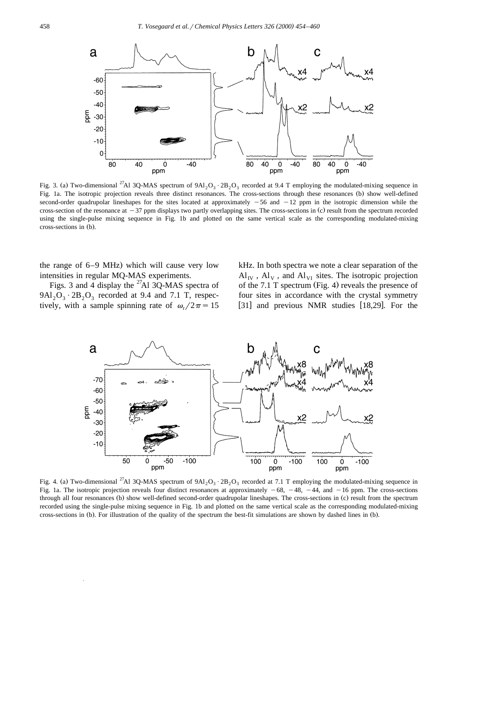

Fig. 3. (a) Two-dimensional <sup>27</sup>Al 3Q-MAS spectrum of  $9A1_2O_3 \cdot 2B_2O_3$  recorded at 9.4 T employing the modulated-mixing sequence in Fig. 1a. The isotropic projection reveals three distinct resonances. The cross-sections through these resonances (b) show well-defined second-order quadrupolar lineshapes for the sites located at approximately  $-56$  and  $-12$  ppm in the isotropic dimension while the cross-section of the resonance at  $-37$  ppm displays two partly overlapping sites. The cross-sections in (c) result from the spectrum recorded using the single-pulse mixing sequence in Fig. 1b and plotted on the same vertical scale as the corresponding modulated-mixing cross-sections in (b).

the range of  $6-9$  MHz) which will cause very low intensities in regular MQ-MAS experiments.

Figs. 3 and 4 display the  $^{27}$ Al 3Q-MAS spectra of  $9Al_2O_3 \cdot 2B_2O_3$  recorded at 9.4 and 7.1 T, respectively, with a sample spinning rate of  $\omega_r/2\pi = 15$ 

kHz. In both spectra we note a clear separation of the  $Al_{\text{IV}}$ ,  $Al_{\text{V}}$ , and  $Al_{\text{VI}}$  sites. The isotropic projection of the 7.1 T spectrum (Fig. 4) reveals the presence of four sites in accordance with the crystal symmetry [31] and previous NMR studies  $[18,29]$ . For the



Fig. 4. (a) Two-dimensional <sup>27</sup>Al 3Q-MAS spectrum of 9Al<sub>2</sub>O<sub>3</sub>  $\cdot$  2B<sub>2</sub>O<sub>3</sub> recorded at 7.1 T employing the modulated-mixing sequence in Fig. 1a. The isotropic projection reveals four distinct resonances at approximately  $-68$ ,  $-48$ ,  $-44$ , and  $-16$  ppm. The cross-sections through all four resonances (b) show well-defined second-order quadrupolar lineshapes. The cross-sections in (c) result from the spectrum recorded using the single-pulse mixing sequence in Fig. 1b and plotted on the same vertical scale as the corresponding modulated-mixing cross-sections in (b). For illustration of the quality of the spectrum the best-fit simulations are shown by dashed lines in (b).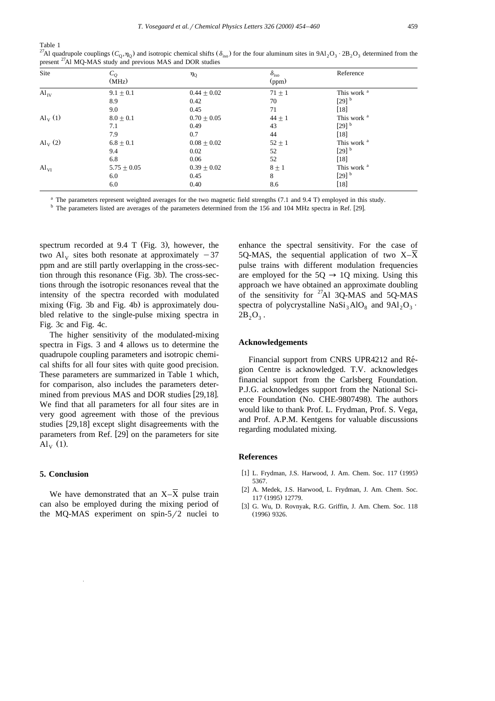Table 1

| Site                  | $C_Q$<br>(MHz) | $\eta_{\rm O}$ | $\delta_{\rm iso}$<br>(ppm) | Reference              |
|-----------------------|----------------|----------------|-----------------------------|------------------------|
| $Al_{IV}$             | $9.1 \pm 0.1$  | $0.44 + 0.02$  | $71 + 1$                    | This work <sup>a</sup> |
|                       | 8.9            | 0.42           | 70                          | $[29]$ <sup>b</sup>    |
|                       | 9.0            | 0.45           | 71                          | $[18]$                 |
| $\mathrm{Al}_{V}$ (1) | $8.0 + 0.1$    | $0.70 + 0.05$  | $44 + 1$                    | This work <sup>a</sup> |
|                       | 7.1            | 0.49           | 43                          | $[29]$ <sup>b</sup>    |
|                       | 7.9            | 0.7            | 44                          | $[18]$                 |
| $\mathrm{Al}_{V}$ (2) | $6.8 \pm 0.1$  | $0.08 + 0.02$  | $52 \pm 1$                  | This work <sup>a</sup> |
|                       | 9.4            | 0.02           | 52                          | $[29]$ <sup>b</sup>    |
|                       | 6.8            | 0.06           | 52                          | $[18]$                 |
| $Al_{VI}$             | $5.75 + 0.05$  | $0.39 + 0.02$  | $8 + 1$                     | This work <sup>a</sup> |
|                       | 6.0            | 0.45           | 8                           | $[29]$ <sup>b</sup>    |
|                       | 6.0            | 0.40           | 8.6                         | $[18]$                 |

<sup>27</sup>Al quadrupole couplings  $(C_0, \eta_0)$  and isotropic chemical shifts  $(\delta_{iso})$  for the four aluminum sites in 9Al<sub>2</sub>O<sub>3</sub>  $\cdot$  2B<sub>2</sub>O<sub>3</sub> determined from the present 27Al MQ-MAS study and previous MAS and DOR studies

 $a$  The parameters represent weighted averages for the two magnetic field strengths (7.1 and 9.4 T) employed in this study.

 $<sup>b</sup>$  The parameters listed are averages of the parameters determined from the 156 and 104 MHz spectra in Ref. [29].</sup>

spectrum recorded at  $9.4$  T (Fig. 3), however, the two Al<sub>v</sub> sites both resonate at approximately  $-37$ ppm and are still partly overlapping in the cross-section through this resonance (Fig. 3b). The cross-sections through the isotropic resonances reveal that the intensity of the spectra recorded with modulated mixing (Fig. 3b and Fig. 4b) is approximately doubled relative to the single-pulse mixing spectra in Fig. 3c and Fig. 4c.

The higher sensitivity of the modulated-mixing spectra in Figs. 3 and 4 allows us to determine the quadrupole coupling parameters and isotropic chemical shifts for all four sites with quite good precision. These parameters are summarized in Table 1 which, for comparison, also includes the parameters determined from previous MAS and DOR studies  $[29,18]$ . We find that all parameters for all four sites are in very good agreement with those of the previous studies  $[29,18]$  except slight disagreements with the parameters from Ref. [29] on the parameters for site  $\mathrm{Al}_{V}$  (1).

### **5. Conclusion**

We have demonstrated that an  $X-\overline{X}$  pulse train can also be employed during the mixing period of the MQ-MAS experiment on spin- $5/2$  nuclei to

enhance the spectral sensitivity. For the case of 5O-MAS, the sequential application of two  $X-\overline{X}$ pulse trains with different modulation frequencies are employed for the  $5Q \rightarrow 1Q$  mixing. Using this approach we have obtained an approximate doubling of the sensitivity for  $^{27}$ Al 3Q-MAS and 5Q-MAS spectra of polycrystalline  $NaSi_3AlO_8$  and  $9Al_2O_3$ .  $2B_2O_3$ .

#### **Acknowledgements**

Financial support from CNRS UPR4212 and Région Centre is acknowledged. T.V. acknowledges financial support from the Carlsberg Foundation. P.J.G. acknowledges support from the National Science Foundation (No. CHE-9807498). The authors would like to thank Prof. L. Frydman, Prof. S. Vega, and Prof. A.P.M. Kentgens for valuable discussions regarding modulated mixing.

#### **References**

- [1] L. Frydman, J.S. Harwood, J. Am. Chem. Soc. 117 (1995) 5367.
- [2] A. Medek, J.S. Harwood, L. Frydman, J. Am. Chem. Soc. 117 (1995) 12779.
- [3] G. Wu, D. Rovnyak, R.G. Griffin, J. Am. Chem. Soc. 118  $(1996)$  9326.